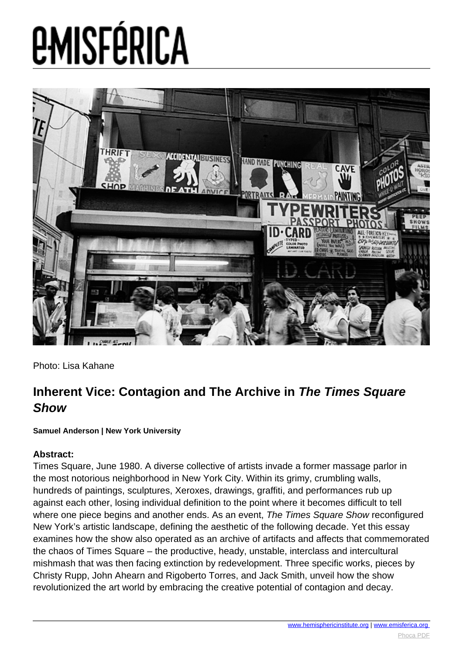

Photo: Lisa Kahane

#### **Inherent Vice: Contagion and The Archive in The Times Square Show**

#### **Samuel Anderson | New York University**

#### **Abstract:**

Times Square, June 1980. A diverse collective of artists invade a former massage parlor in the most notorious neighborhood in New York City. Within its grimy, crumbling walls, hundreds of paintings, sculptures, Xeroxes, drawings, graffiti, and performances rub up against each other, losing individual definition to the point where it becomes difficult to tell where one piece begins and another ends. As an event, The Times Square Show reconfigured New York's artistic landscape, defining the aesthetic of the following decade. Yet this essay examines how the show also operated as an archive of artifacts and affects that commemorated the chaos of Times Square – the productive, heady, unstable, interclass and intercultural mishmash that was then facing extinction by redevelopment. Three specific works, pieces by Christy Rupp, John Ahearn and Rigoberto Torres, and Jack Smith, unveil how the show revolutionized the art world by embracing the creative potential of contagion and decay.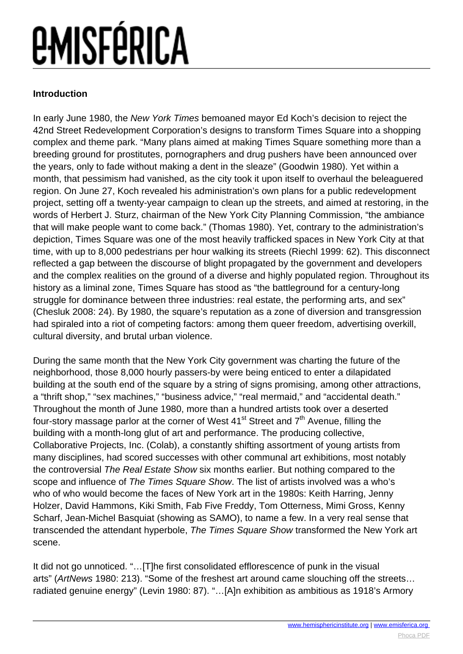#### **Introduction**

In early June 1980, the New York Times bemoaned mayor Ed Koch's decision to reject the 42nd Street Redevelopment Corporation's designs to transform Times Square into a shopping complex and theme park. "Many plans aimed at making Times Square something more than a breeding ground for prostitutes, pornographers and drug pushers have been announced over the years, only to fade without making a dent in the sleaze" (Goodwin 1980). Yet within a month, that pessimism had vanished, as the city took it upon itself to overhaul the beleaguered region. On June 27, Koch revealed his administration's own plans for a public redevelopment project, setting off a twenty-year campaign to clean up the streets, and aimed at restoring, in the words of Herbert J. Sturz, chairman of the New York City Planning Commission, "the ambiance that will make people want to come back." (Thomas 1980). Yet, contrary to the administration's depiction, Times Square was one of the most heavily trafficked spaces in New York City at that time, with up to 8,000 pedestrians per hour walking its streets (Riechl 1999: 62). This disconnect reflected a gap between the discourse of blight propagated by the government and developers and the complex realities on the ground of a diverse and highly populated region. Throughout its history as a liminal zone, Times Square has stood as "the battleground for a century-long struggle for dominance between three industries: real estate, the performing arts, and sex" (Chesluk 2008: 24). By 1980, the square's reputation as a zone of diversion and transgression had spiraled into a riot of competing factors: among them queer freedom, advertising overkill, cultural diversity, and brutal urban violence.

During the same month that the New York City government was charting the future of the neighborhood, those 8,000 hourly passers-by were being enticed to enter a dilapidated building at the south end of the square by a string of signs promising, among other attractions, a "thrift shop," "sex machines," "business advice," "real mermaid," and "accidental death." Throughout the month of June 1980, more than a hundred artists took over a deserted four-story massage parlor at the corner of West  $41<sup>st</sup>$  Street and  $7<sup>th</sup>$  Avenue, filling the building with a month-long glut of art and performance. The producing collective, Collaborative Projects, Inc. (Colab), a constantly shifting assortment of young artists from many disciplines, had scored successes with other communal art exhibitions, most notably the controversial The Real Estate Show six months earlier. But nothing compared to the scope and influence of The Times Square Show. The list of artists involved was a who's who of who would become the faces of New York art in the 1980s: Keith Harring, Jenny Holzer, David Hammons, Kiki Smith, Fab Five Freddy, Tom Otterness, Mimi Gross, Kenny Scharf, Jean-Michel Basquiat (showing as SAMO), to name a few. In a very real sense that transcended the attendant hyperbole, The Times Square Show transformed the New York art scene.

It did not go unnoticed. "…[T]he first consolidated efflorescence of punk in the visual arts" (ArtNews 1980: 213). "Some of the freshest art around came slouching off the streets… radiated genuine energy" (Levin 1980: 87). "…[A]n exhibition as ambitious as 1918's Armory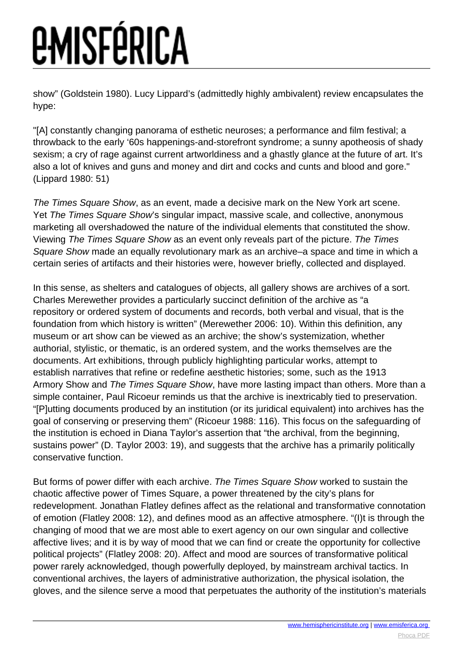show" (Goldstein 1980). Lucy Lippard's (admittedly highly ambivalent) review encapsulates the hype:

"[A] constantly changing panorama of esthetic neuroses; a performance and film festival; a throwback to the early '60s happenings-and-storefront syndrome; a sunny apotheosis of shady sexism; a cry of rage against current artworldiness and a ghastly glance at the future of art. It's also a lot of knives and guns and money and dirt and cocks and cunts and blood and gore." (Lippard 1980: 51)

The Times Square Show, as an event, made a decisive mark on the New York art scene. Yet The Times Square Show's singular impact, massive scale, and collective, anonymous marketing all overshadowed the nature of the individual elements that constituted the show. Viewing The Times Square Show as an event only reveals part of the picture. The Times Square Show made an equally revolutionary mark as an archive–a space and time in which a certain series of artifacts and their histories were, however briefly, collected and displayed.

In this sense, as shelters and catalogues of objects, all gallery shows are archives of a sort. Charles Merewether provides a particularly succinct definition of the archive as "a repository or ordered system of documents and records, both verbal and visual, that is the foundation from which history is written" (Merewether 2006: 10). Within this definition, any museum or art show can be viewed as an archive; the show's systemization, whether authorial, stylistic, or thematic, is an ordered system, and the works themselves are the documents. Art exhibitions, through publicly highlighting particular works, attempt to establish narratives that refine or redefine aesthetic histories; some, such as the 1913 Armory Show and The Times Square Show, have more lasting impact than others. More than a simple container, Paul Ricoeur reminds us that the archive is inextricably tied to preservation. "[P]utting documents produced by an institution (or its juridical equivalent) into archives has the goal of conserving or preserving them" (Ricoeur 1988: 116). This focus on the safeguarding of the institution is echoed in Diana Taylor's assertion that "the archival, from the beginning, sustains power" (D. Taylor 2003: 19), and suggests that the archive has a primarily politically conservative function.

But forms of power differ with each archive. The Times Square Show worked to sustain the chaotic affective power of Times Square, a power threatened by the city's plans for redevelopment. Jonathan Flatley defines affect as the relational and transformative connotation of emotion (Flatley 2008: 12), and defines mood as an affective atmosphere. "(I)t is through the changing of mood that we are most able to exert agency on our own singular and collective affective lives; and it is by way of mood that we can find or create the opportunity for collective political projects" (Flatley 2008: 20). Affect and mood are sources of transformative political power rarely acknowledged, though powerfully deployed, by mainstream archival tactics. In conventional archives, the layers of administrative authorization, the physical isolation, the gloves, and the silence serve a mood that perpetuates the authority of the institution's materials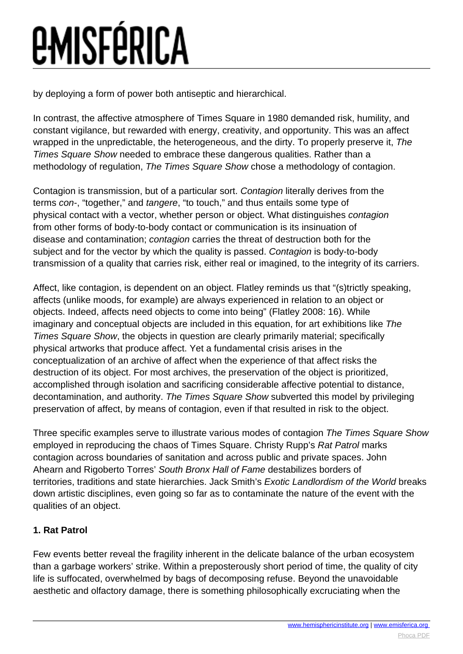by deploying a form of power both antiseptic and hierarchical.

In contrast, the affective atmosphere of Times Square in 1980 demanded risk, humility, and constant vigilance, but rewarded with energy, creativity, and opportunity. This was an affect wrapped in the unpredictable, the heterogeneous, and the dirty. To properly preserve it, The Times Square Show needed to embrace these dangerous qualities. Rather than a methodology of regulation, The Times Square Show chose a methodology of contagion.

Contagion is transmission, but of a particular sort. Contagion literally derives from the terms con-, "together," and tangere, "to touch," and thus entails some type of physical contact with a vector, whether person or object. What distinguishes contagion from other forms of body-to-body contact or communication is its insinuation of disease and contamination; contagion carries the threat of destruction both for the subject and for the vector by which the quality is passed. Contagion is body-to-body transmission of a quality that carries risk, either real or imagined, to the integrity of its carriers.

Affect, like contagion, is dependent on an object. Flatley reminds us that "(s)trictly speaking, affects (unlike moods, for example) are always experienced in relation to an object or objects. Indeed, affects need objects to come into being" (Flatley 2008: 16). While imaginary and conceptual objects are included in this equation, for art exhibitions like The Times Square Show, the objects in question are clearly primarily material; specifically physical artworks that produce affect. Yet a fundamental crisis arises in the conceptualization of an archive of affect when the experience of that affect risks the destruction of its object. For most archives, the preservation of the object is prioritized, accomplished through isolation and sacrificing considerable affective potential to distance, decontamination, and authority. The Times Square Show subverted this model by privileging preservation of affect, by means of contagion, even if that resulted in risk to the object.

Three specific examples serve to illustrate various modes of contagion The Times Square Show employed in reproducing the chaos of Times Square. Christy Rupp's Rat Patrol marks contagion across boundaries of sanitation and across public and private spaces. John Ahearn and Rigoberto Torres' South Bronx Hall of Fame destabilizes borders of territories, traditions and state hierarchies. Jack Smith's Exotic Landlordism of the World breaks down artistic disciplines, even going so far as to contaminate the nature of the event with the qualities of an object.

#### **1. Rat Patrol**

Few events better reveal the fragility inherent in the delicate balance of the urban ecosystem than a garbage workers' strike. Within a preposterously short period of time, the quality of city life is suffocated, overwhelmed by bags of decomposing refuse. Beyond the unavoidable aesthetic and olfactory damage, there is something philosophically excruciating when the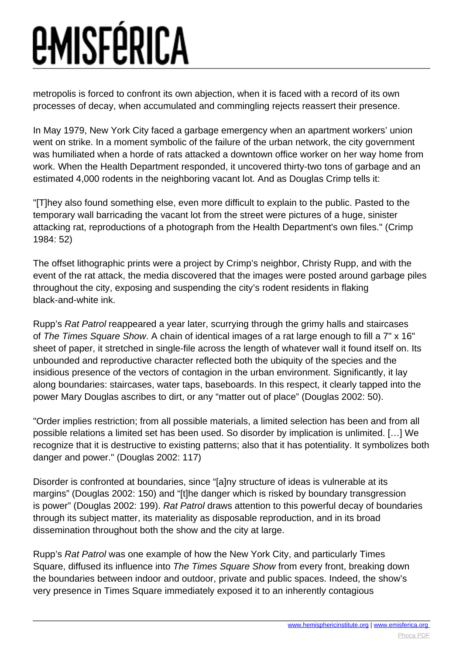metropolis is forced to confront its own abjection, when it is faced with a record of its own processes of decay, when accumulated and commingling rejects reassert their presence.

In May 1979, New York City faced a garbage emergency when an apartment workers' union went on strike. In a moment symbolic of the failure of the urban network, the city government was humiliated when a horde of rats attacked a downtown office worker on her way home from work. When the Health Department responded, it uncovered thirty-two tons of garbage and an estimated 4,000 rodents in the neighboring vacant lot. And as Douglas Crimp tells it:

"[T]hey also found something else, even more difficult to explain to the public. Pasted to the temporary wall barricading the vacant lot from the street were pictures of a huge, sinister attacking rat, reproductions of a photograph from the Health Department's own files." (Crimp 1984: 52)

The offset lithographic prints were a project by Crimp's neighbor, Christy Rupp, and with the event of the rat attack, the media discovered that the images were posted around garbage piles throughout the city, exposing and suspending the city's rodent residents in flaking black-and-white ink.

Rupp's Rat Patrol reappeared a year later, scurrying through the grimy halls and staircases of The Times Square Show. A chain of identical images of a rat large enough to fill a 7" x 16" sheet of paper, it stretched in single-file across the length of whatever wall it found itself on. Its unbounded and reproductive character reflected both the ubiquity of the species and the insidious presence of the vectors of contagion in the urban environment. Significantly, it lay along boundaries: staircases, water taps, baseboards. In this respect, it clearly tapped into the power Mary Douglas ascribes to dirt, or any "matter out of place" (Douglas 2002: 50).

"Order implies restriction; from all possible materials, a limited selection has been and from all possible relations a limited set has been used. So disorder by implication is unlimited. […] We recognize that it is destructive to existing patterns; also that it has potentiality. It symbolizes both danger and power." (Douglas 2002: 117)

Disorder is confronted at boundaries, since "[a]ny structure of ideas is vulnerable at its margins" (Douglas 2002: 150) and "[t]he danger which is risked by boundary transgression is power" (Douglas 2002: 199). Rat Patrol draws attention to this powerful decay of boundaries through its subject matter, its materiality as disposable reproduction, and in its broad dissemination throughout both the show and the city at large.

Rupp's Rat Patrol was one example of how the New York City, and particularly Times Square, diffused its influence into The Times Square Show from every front, breaking down the boundaries between indoor and outdoor, private and public spaces. Indeed, the show's very presence in Times Square immediately exposed it to an inherently contagious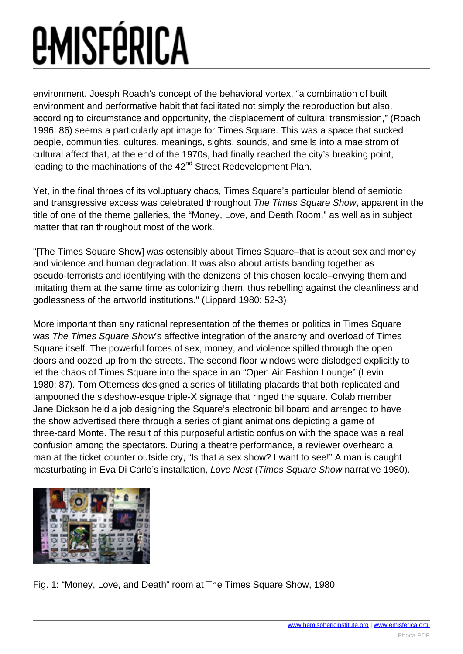environment. Joesph Roach's concept of the behavioral vortex, "a combination of built environment and performative habit that facilitated not simply the reproduction but also, according to circumstance and opportunity, the displacement of cultural transmission," (Roach 1996: 86) seems a particularly apt image for Times Square. This was a space that sucked people, communities, cultures, meanings, sights, sounds, and smells into a maelstrom of cultural affect that, at the end of the 1970s, had finally reached the city's breaking point, leading to the machinations of the 42<sup>nd</sup> Street Redevelopment Plan.

Yet, in the final throes of its voluptuary chaos, Times Square's particular blend of semiotic and transgressive excess was celebrated throughout The Times Square Show, apparent in the title of one of the theme galleries, the "Money, Love, and Death Room," as well as in subject matter that ran throughout most of the work.

"[The Times Square Show] was ostensibly about Times Square–that is about sex and money and violence and human degradation. It was also about artists banding together as pseudo-terrorists and identifying with the denizens of this chosen locale–envying them and imitating them at the same time as colonizing them, thus rebelling against the cleanliness and godlessness of the artworld institutions." (Lippard 1980: 52-3)

More important than any rational representation of the themes or politics in Times Square was The Times Square Show's affective integration of the anarchy and overload of Times Square itself. The powerful forces of sex, money, and violence spilled through the open doors and oozed up from the streets. The second floor windows were dislodged explicitly to let the chaos of Times Square into the space in an "Open Air Fashion Lounge" (Levin 1980: 87). Tom Otterness designed a series of titillating placards that both replicated and lampooned the sideshow-esque triple-X signage that ringed the square. Colab member Jane Dickson held a job designing the Square's electronic billboard and arranged to have the show advertised there through a series of giant animations depicting a game of three-card Monte. The result of this purposeful artistic confusion with the space was a real confusion among the spectators. During a theatre performance, a reviewer overheard a man at the ticket counter outside cry, "Is that a sex show? I want to see!" A man is caught masturbating in Eva Di Carlo's installation, Love Nest (Times Square Show narrative 1980).



Fig. 1: "Money, Love, and Death" room at The Times Square Show, 1980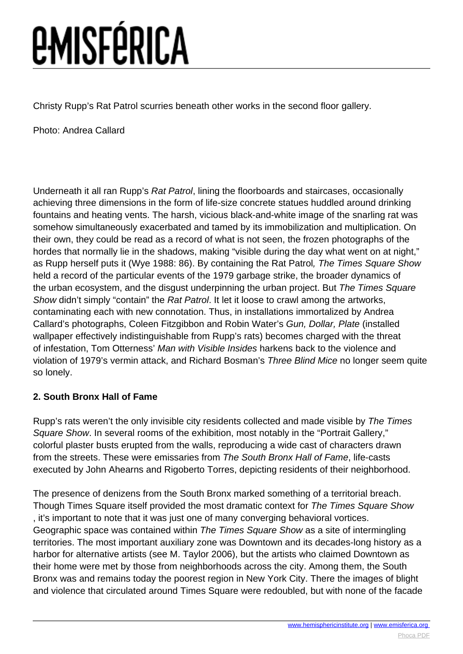Christy Rupp's Rat Patrol scurries beneath other works in the second floor gallery.

Photo: Andrea Callard

Underneath it all ran Rupp's Rat Patrol, lining the floorboards and staircases, occasionally achieving three dimensions in the form of life-size concrete statues huddled around drinking fountains and heating vents. The harsh, vicious black-and-white image of the snarling rat was somehow simultaneously exacerbated and tamed by its immobilization and multiplication. On their own, they could be read as a record of what is not seen, the frozen photographs of the hordes that normally lie in the shadows, making "visible during the day what went on at night," as Rupp herself puts it (Wye 1988: 86). By containing the Rat Patrol, The Times Square Show held a record of the particular events of the 1979 garbage strike, the broader dynamics of the urban ecosystem, and the disgust underpinning the urban project. But The Times Square Show didn't simply "contain" the Rat Patrol. It let it loose to crawl among the artworks, contaminating each with new connotation. Thus, in installations immortalized by Andrea Callard's photographs, Coleen Fitzgibbon and Robin Water's Gun, Dollar, Plate (installed wallpaper effectively indistinguishable from Rupp's rats) becomes charged with the threat of infestation, Tom Otterness' Man with Visible Insides harkens back to the violence and violation of 1979's vermin attack, and Richard Bosman's Three Blind Mice no longer seem quite so lonely.

#### **2. South Bronx Hall of Fame**

Rupp's rats weren't the only invisible city residents collected and made visible by The Times Square Show. In several rooms of the exhibition, most notably in the "Portrait Gallery," colorful plaster busts erupted from the walls, reproducing a wide cast of characters drawn from the streets. These were emissaries from The South Bronx Hall of Fame, life-casts executed by John Ahearns and Rigoberto Torres, depicting residents of their neighborhood.

The presence of denizens from the South Bronx marked something of a territorial breach. Though Times Square itself provided the most dramatic context for The Times Square Show , it's important to note that it was just one of many converging behavioral vortices. Geographic space was contained within The Times Square Show as a site of intermingling territories. The most important auxiliary zone was Downtown and its decades-long history as a harbor for alternative artists (see M. Taylor 2006), but the artists who claimed Downtown as their home were met by those from neighborhoods across the city. Among them, the South Bronx was and remains today the poorest region in New York City. There the images of blight and violence that circulated around Times Square were redoubled, but with none of the facade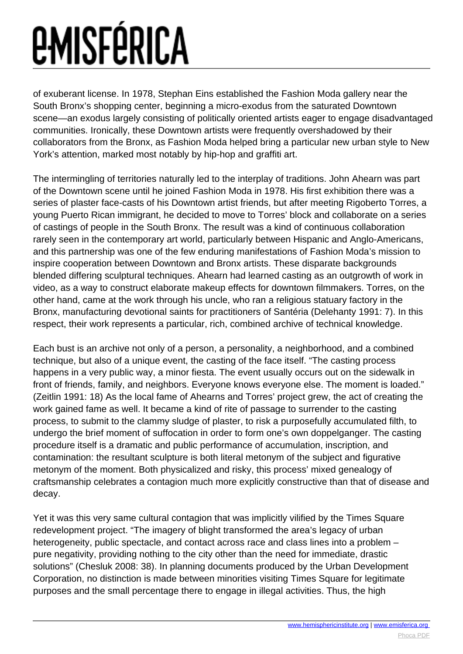of exuberant license. In 1978, Stephan Eins established the Fashion Moda gallery near the South Bronx's shopping center, beginning a micro-exodus from the saturated Downtown scene—an exodus largely consisting of politically oriented artists eager to engage disadvantaged communities. Ironically, these Downtown artists were frequently overshadowed by their collaborators from the Bronx, as Fashion Moda helped bring a particular new urban style to New York's attention, marked most notably by hip-hop and graffiti art.

The intermingling of territories naturally led to the interplay of traditions. John Ahearn was part of the Downtown scene until he joined Fashion Moda in 1978. His first exhibition there was a series of plaster face-casts of his Downtown artist friends, but after meeting Rigoberto Torres, a young Puerto Rican immigrant, he decided to move to Torres' block and collaborate on a series of castings of people in the South Bronx. The result was a kind of continuous collaboration rarely seen in the contemporary art world, particularly between Hispanic and Anglo-Americans, and this partnership was one of the few enduring manifestations of Fashion Moda's mission to inspire cooperation between Downtown and Bronx artists. These disparate backgrounds blended differing sculptural techniques. Ahearn had learned casting as an outgrowth of work in video, as a way to construct elaborate makeup effects for downtown filmmakers. Torres, on the other hand, came at the work through his uncle, who ran a religious statuary factory in the Bronx, manufacturing devotional saints for practitioners of Santéria (Delehanty 1991: 7). In this respect, their work represents a particular, rich, combined archive of technical knowledge.

Each bust is an archive not only of a person, a personality, a neighborhood, and a combined technique, but also of a unique event, the casting of the face itself. "The casting process happens in a very public way, a minor fiesta. The event usually occurs out on the sidewalk in front of friends, family, and neighbors. Everyone knows everyone else. The moment is loaded." (Zeitlin 1991: 18) As the local fame of Ahearns and Torres' project grew, the act of creating the work gained fame as well. It became a kind of rite of passage to surrender to the casting process, to submit to the clammy sludge of plaster, to risk a purposefully accumulated filth, to undergo the brief moment of suffocation in order to form one's own doppelganger. The casting procedure itself is a dramatic and public performance of accumulation, inscription, and contamination: the resultant sculpture is both literal metonym of the subject and figurative metonym of the moment. Both physicalized and risky, this process' mixed genealogy of craftsmanship celebrates a contagion much more explicitly constructive than that of disease and decay.

Yet it was this very same cultural contagion that was implicitly vilified by the Times Square redevelopment project. "The imagery of blight transformed the area's legacy of urban heterogeneity, public spectacle, and contact across race and class lines into a problem – pure negativity, providing nothing to the city other than the need for immediate, drastic solutions" (Chesluk 2008: 38). In planning documents produced by the Urban Development Corporation, no distinction is made between minorities visiting Times Square for legitimate purposes and the small percentage there to engage in illegal activities. Thus, the high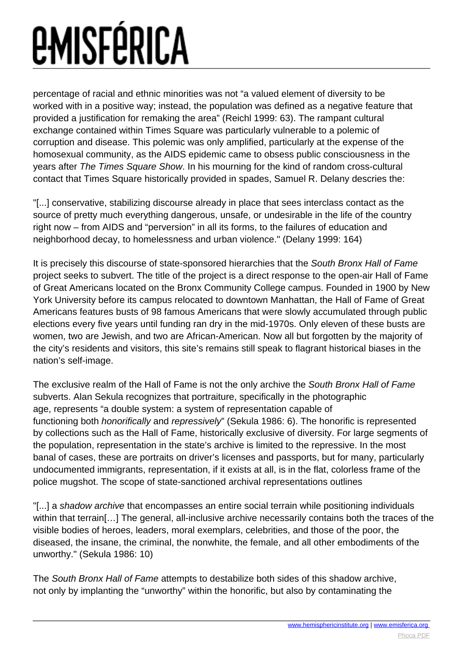percentage of racial and ethnic minorities was not "a valued element of diversity to be worked with in a positive way; instead, the population was defined as a negative feature that provided a justification for remaking the area" (Reichl 1999: 63). The rampant cultural exchange contained within Times Square was particularly vulnerable to a polemic of corruption and disease. This polemic was only amplified, particularly at the expense of the homosexual community, as the AIDS epidemic came to obsess public consciousness in the years after The Times Square Show. In his mourning for the kind of random cross-cultural contact that Times Square historically provided in spades, Samuel R. Delany descries the:

"[...] conservative, stabilizing discourse already in place that sees interclass contact as the source of pretty much everything dangerous, unsafe, or undesirable in the life of the country right now – from AIDS and "perversion" in all its forms, to the failures of education and neighborhood decay, to homelessness and urban violence." (Delany 1999: 164)

It is precisely this discourse of state-sponsored hierarchies that the South Bronx Hall of Fame project seeks to subvert. The title of the project is a direct response to the open-air Hall of Fame of Great Americans located on the Bronx Community College campus. Founded in 1900 by New York University before its campus relocated to downtown Manhattan, the Hall of Fame of Great Americans features busts of 98 famous Americans that were slowly accumulated through public elections every five years until funding ran dry in the mid-1970s. Only eleven of these busts are women, two are Jewish, and two are African-American. Now all but forgotten by the majority of the city's residents and visitors, this site's remains still speak to flagrant historical biases in the nation's self-image.

The exclusive realm of the Hall of Fame is not the only archive the South Bronx Hall of Fame subverts. Alan Sekula recognizes that portraiture, specifically in the photographic age, represents "a double system: a system of representation capable of functioning both honorifically and repressively" (Sekula 1986: 6). The honorific is represented by collections such as the Hall of Fame, historically exclusive of diversity. For large segments of the population, representation in the state's archive is limited to the repressive. In the most banal of cases, these are portraits on driver's licenses and passports, but for many, particularly undocumented immigrants, representation, if it exists at all, is in the flat, colorless frame of the police mugshot. The scope of state-sanctioned archival representations outlines

"[...] a shadow archive that encompasses an entire social terrain while positioning individuals within that terrain[...] The general, all-inclusive archive necessarily contains both the traces of the visible bodies of heroes, leaders, moral exemplars, celebrities, and those of the poor, the diseased, the insane, the criminal, the nonwhite, the female, and all other embodiments of the unworthy." (Sekula 1986: 10)

The South Bronx Hall of Fame attempts to destabilize both sides of this shadow archive, not only by implanting the "unworthy" within the honorific, but also by contaminating the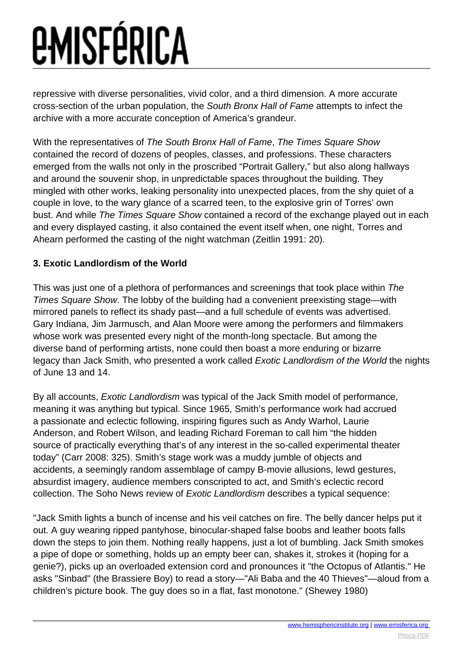repressive with diverse personalities, vivid color, and a third dimension. A more accurate cross-section of the urban population, the South Bronx Hall of Fame attempts to infect the archive with a more accurate conception of America's grandeur.

With the representatives of The South Bronx Hall of Fame, The Times Square Show contained the record of dozens of peoples, classes, and professions. These characters emerged from the walls not only in the proscribed "Portrait Gallery," but also along hallways and around the souvenir shop, in unpredictable spaces throughout the building. They mingled with other works, leaking personality into unexpected places, from the shy quiet of a couple in love, to the wary glance of a scarred teen, to the explosive grin of Torres' own bust. And while The Times Square Show contained a record of the exchange played out in each and every displayed casting, it also contained the event itself when, one night, Torres and Ahearn performed the casting of the night watchman (Zeitlin 1991: 20).

#### **3. Exotic Landlordism of the World**

This was just one of a plethora of performances and screenings that took place within The Times Square Show. The lobby of the building had a convenient preexisting stage—with mirrored panels to reflect its shady past—and a full schedule of events was advertised. Gary Indiana, Jim Jarmusch, and Alan Moore were among the performers and filmmakers whose work was presented every night of the month-long spectacle. But among the diverse band of performing artists, none could then boast a more enduring or bizarre legacy than Jack Smith, who presented a work called Exotic Landlordism of the World the nights of June 13 and 14.

By all accounts, *Exotic Landlordism* was typical of the Jack Smith model of performance, meaning it was anything but typical. Since 1965, Smith's performance work had accrued a passionate and eclectic following, inspiring figures such as Andy Warhol, Laurie Anderson, and Robert Wilson, and leading Richard Foreman to call him "the hidden source of practically everything that's of any interest in the so-called experimental theater today" (Carr 2008: 325). Smith's stage work was a muddy jumble of objects and accidents, a seemingly random assemblage of campy B-movie allusions, lewd gestures, absurdist imagery, audience members conscripted to act, and Smith's eclectic record collection. The Soho News review of Exotic Landlordism describes a typical sequence:

"Jack Smith lights a bunch of incense and his veil catches on fire. The belly dancer helps put it out. A guy wearing ripped pantyhose, binocular-shaped false boobs and leather boots falls down the steps to join them. Nothing really happens, just a lot of bumbling. Jack Smith smokes a pipe of dope or something, holds up an empty beer can, shakes it, strokes it (hoping for a genie?), picks up an overloaded extension cord and pronounces it "the Octopus of Atlantis." He asks "Sinbad" (the Brassiere Boy) to read a story—"Ali Baba and the 40 Thieves"—aloud from a children's picture book. The guy does so in a flat, fast monotone." (Shewey 1980)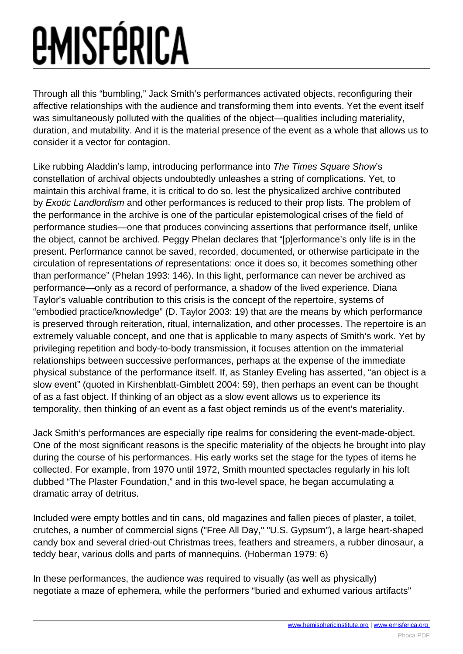Through all this "bumbling," Jack Smith's performances activated objects, reconfiguring their affective relationships with the audience and transforming them into events. Yet the event itself was simultaneously polluted with the qualities of the object—qualities including materiality, duration, and mutability. And it is the material presence of the event as a whole that allows us to consider it a vector for contagion.

Like rubbing Aladdin's lamp, introducing performance into The Times Square Show's constellation of archival objects undoubtedly unleashes a string of complications. Yet, to maintain this archival frame, it is critical to do so, lest the physicalized archive contributed by Exotic Landlordism and other performances is reduced to their prop lists. The problem of the performance in the archive is one of the particular epistemological crises of the field of performance studies—one that produces convincing assertions that performance itself, unlike the object, cannot be archived. Peggy Phelan declares that "[p]erformance's only life is in the present. Performance cannot be saved, recorded, documented, or otherwise participate in the circulation of representations of representations: once it does so, it becomes something other than performance" (Phelan 1993: 146). In this light, performance can never be archived as performance—only as a record of performance, a shadow of the lived experience. Diana Taylor's valuable contribution to this crisis is the concept of the repertoire, systems of "embodied practice/knowledge" (D. Taylor 2003: 19) that are the means by which performance is preserved through reiteration, ritual, internalization, and other processes. The repertoire is an extremely valuable concept, and one that is applicable to many aspects of Smith's work. Yet by privileging repetition and body-to-body transmission, it focuses attention on the immaterial relationships between successive performances, perhaps at the expense of the immediate physical substance of the performance itself. If, as Stanley Eveling has asserted, "an object is a slow event" (quoted in Kirshenblatt-Gimblett 2004: 59), then perhaps an event can be thought of as a fast object. If thinking of an object as a slow event allows us to experience its temporality, then thinking of an event as a fast object reminds us of the event's materiality.

Jack Smith's performances are especially ripe realms for considering the event-made-object. One of the most significant reasons is the specific materiality of the objects he brought into play during the course of his performances. His early works set the stage for the types of items he collected. For example, from 1970 until 1972, Smith mounted spectacles regularly in his loft dubbed "The Plaster Foundation," and in this two-level space, he began accumulating a dramatic array of detritus.

Included were empty bottles and tin cans, old magazines and fallen pieces of plaster, a toilet, crutches, a number of commercial signs ("Free All Day," "U.S. Gypsum"), a large heart-shaped candy box and several dried-out Christmas trees, feathers and streamers, a rubber dinosaur, a teddy bear, various dolls and parts of mannequins. (Hoberman 1979: 6)

In these performances, the audience was required to visually (as well as physically) negotiate a maze of ephemera, while the performers "buried and exhumed various artifacts"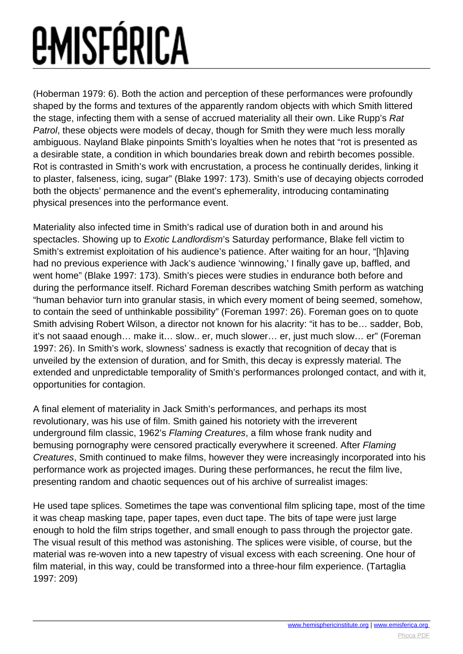(Hoberman 1979: 6). Both the action and perception of these performances were profoundly shaped by the forms and textures of the apparently random objects with which Smith littered the stage, infecting them with a sense of accrued materiality all their own. Like Rupp's Rat Patrol, these objects were models of decay, though for Smith they were much less morally ambiguous. Nayland Blake pinpoints Smith's loyalties when he notes that "rot is presented as a desirable state, a condition in which boundaries break down and rebirth becomes possible. Rot is contrasted in Smith's work with encrustation, a process he continually derides, linking it to plaster, falseness, icing, sugar" (Blake 1997: 173). Smith's use of decaying objects corroded both the objects' permanence and the event's ephemerality, introducing contaminating physical presences into the performance event.

Materiality also infected time in Smith's radical use of duration both in and around his spectacles. Showing up to Exotic Landlordism's Saturday performance, Blake fell victim to Smith's extremist exploitation of his audience's patience. After waiting for an hour, "[h]aving had no previous experience with Jack's audience 'winnowing,' I finally gave up, baffled, and went home" (Blake 1997: 173). Smith's pieces were studies in endurance both before and during the performance itself. Richard Foreman describes watching Smith perform as watching "human behavior turn into granular stasis, in which every moment of being seemed, somehow, to contain the seed of unthinkable possibility" (Foreman 1997: 26). Foreman goes on to quote Smith advising Robert Wilson, a director not known for his alacrity: "it has to be… sadder, Bob, it's not saaad enough… make it… slow.. er, much slower… er, just much slow… er" (Foreman 1997: 26). In Smith's work, slowness' sadness is exactly that recognition of decay that is unveiled by the extension of duration, and for Smith, this decay is expressly material. The extended and unpredictable temporality of Smith's performances prolonged contact, and with it, opportunities for contagion.

A final element of materiality in Jack Smith's performances, and perhaps its most revolutionary, was his use of film. Smith gained his notoriety with the irreverent underground film classic, 1962's Flaming Creatures, a film whose frank nudity and bemusing pornography were censored practically everywhere it screened. After Flaming Creatures, Smith continued to make films, however they were increasingly incorporated into his performance work as projected images. During these performances, he recut the film live, presenting random and chaotic sequences out of his archive of surrealist images:

He used tape splices. Sometimes the tape was conventional film splicing tape, most of the time it was cheap masking tape, paper tapes, even duct tape. The bits of tape were just large enough to hold the film strips together, and small enough to pass through the projector gate. The visual result of this method was astonishing. The splices were visible, of course, but the material was re-woven into a new tapestry of visual excess with each screening. One hour of film material, in this way, could be transformed into a three-hour film experience. (Tartaglia 1997: 209)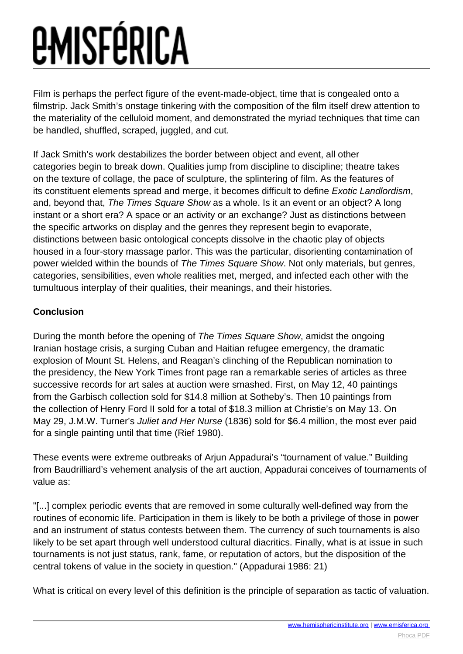Film is perhaps the perfect figure of the event-made-object, time that is congealed onto a filmstrip. Jack Smith's onstage tinkering with the composition of the film itself drew attention to the materiality of the celluloid moment, and demonstrated the myriad techniques that time can be handled, shuffled, scraped, juggled, and cut.

If Jack Smith's work destabilizes the border between object and event, all other categories begin to break down. Qualities jump from discipline to discipline; theatre takes on the texture of collage, the pace of sculpture, the splintering of film. As the features of its constituent elements spread and merge, it becomes difficult to define Exotic Landlordism, and, beyond that, The Times Square Show as a whole. Is it an event or an object? A long instant or a short era? A space or an activity or an exchange? Just as distinctions between the specific artworks on display and the genres they represent begin to evaporate, distinctions between basic ontological concepts dissolve in the chaotic play of objects housed in a four-story massage parlor. This was the particular, disorienting contamination of power wielded within the bounds of The Times Square Show. Not only materials, but genres, categories, sensibilities, even whole realities met, merged, and infected each other with the tumultuous interplay of their qualities, their meanings, and their histories.

#### **Conclusion**

During the month before the opening of The Times Square Show, amidst the ongoing Iranian hostage crisis, a surging Cuban and Haitian refugee emergency, the dramatic explosion of Mount St. Helens, and Reagan's clinching of the Republican nomination to the presidency, the New York Times front page ran a remarkable series of articles as three successive records for art sales at auction were smashed. First, on May 12, 40 paintings from the Garbisch collection sold for \$14.8 million at Sotheby's. Then 10 paintings from the collection of Henry Ford II sold for a total of \$18.3 million at Christie's on May 13. On May 29, J.M.W. Turner's Juliet and Her Nurse (1836) sold for \$6.4 million, the most ever paid for a single painting until that time (Rief 1980).

These events were extreme outbreaks of Arjun Appadurai's "tournament of value." Building from Baudrilliard's vehement analysis of the art auction, Appadurai conceives of tournaments of value as:

"[...] complex periodic events that are removed in some culturally well-defined way from the routines of economic life. Participation in them is likely to be both a privilege of those in power and an instrument of status contests between them. The currency of such tournaments is also likely to be set apart through well understood cultural diacritics. Finally, what is at issue in such tournaments is not just status, rank, fame, or reputation of actors, but the disposition of the central tokens of value in the society in question." (Appadurai 1986: 21)

What is critical on every level of this definition is the principle of separation as tactic of valuation.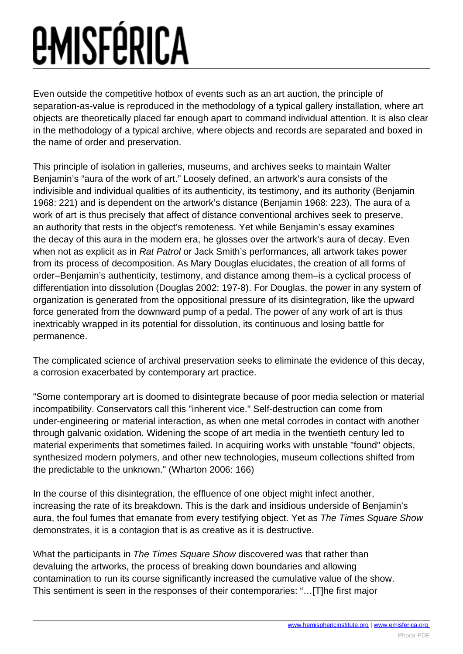Even outside the competitive hotbox of events such as an art auction, the principle of separation-as-value is reproduced in the methodology of a typical gallery installation, where art objects are theoretically placed far enough apart to command individual attention. It is also clear in the methodology of a typical archive, where objects and records are separated and boxed in the name of order and preservation.

This principle of isolation in galleries, museums, and archives seeks to maintain Walter Benjamin's "aura of the work of art." Loosely defined, an artwork's aura consists of the indivisible and individual qualities of its authenticity, its testimony, and its authority (Benjamin 1968: 221) and is dependent on the artwork's distance (Benjamin 1968: 223). The aura of a work of art is thus precisely that affect of distance conventional archives seek to preserve, an authority that rests in the object's remoteness. Yet while Benjamin's essay examines the decay of this aura in the modern era, he glosses over the artwork's aura of decay. Even when not as explicit as in Rat Patrol or Jack Smith's performances, all artwork takes power from its process of decomposition. As Mary Douglas elucidates, the creation of all forms of order–Benjamin's authenticity, testimony, and distance among them–is a cyclical process of differentiation into dissolution (Douglas 2002: 197-8). For Douglas, the power in any system of organization is generated from the oppositional pressure of its disintegration, like the upward force generated from the downward pump of a pedal. The power of any work of art is thus inextricably wrapped in its potential for dissolution, its continuous and losing battle for permanence.

The complicated science of archival preservation seeks to eliminate the evidence of this decay, a corrosion exacerbated by contemporary art practice.

"Some contemporary art is doomed to disintegrate because of poor media selection or material incompatibility. Conservators call this "inherent vice." Self-destruction can come from under-engineering or material interaction, as when one metal corrodes in contact with another through galvanic oxidation. Widening the scope of art media in the twentieth century led to material experiments that sometimes failed. In acquiring works with unstable "found" objects, synthesized modern polymers, and other new technologies, museum collections shifted from the predictable to the unknown." (Wharton 2006: 166)

In the course of this disintegration, the effluence of one object might infect another, increasing the rate of its breakdown. This is the dark and insidious underside of Benjamin's aura, the foul fumes that emanate from every testifying object. Yet as The Times Square Show demonstrates, it is a contagion that is as creative as it is destructive.

What the participants in The Times Square Show discovered was that rather than devaluing the artworks, the process of breaking down boundaries and allowing contamination to run its course significantly increased the cumulative value of the show. This sentiment is seen in the responses of their contemporaries: "…[T]he first major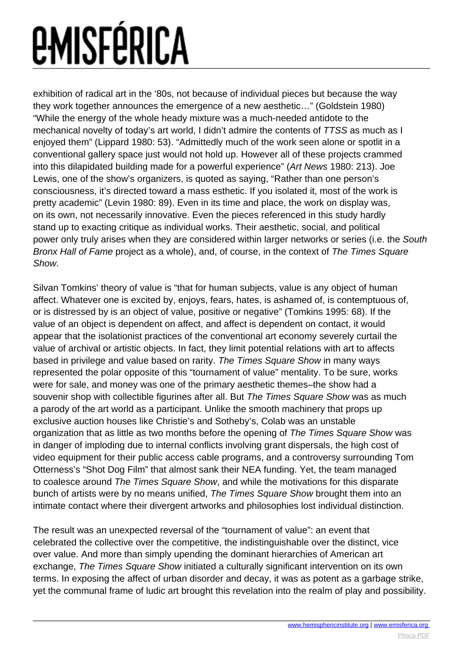exhibition of radical art in the '80s, not because of individual pieces but because the way they work together announces the emergence of a new aesthetic…" (Goldstein 1980) "While the energy of the whole heady mixture was a much-needed antidote to the mechanical novelty of today's art world, I didn't admire the contents of TTSS as much as I enjoyed them" (Lippard 1980: 53). "Admittedly much of the work seen alone or spotlit in a conventional gallery space just would not hold up. However all of these projects crammed into this dilapidated building made for a powerful experience" (Art News 1980: 213). Joe Lewis, one of the show's organizers, is quoted as saying, "Rather than one person's consciousness, it's directed toward a mass esthetic. If you isolated it, most of the work is pretty academic" (Levin 1980: 89). Even in its time and place, the work on display was, on its own, not necessarily innovative. Even the pieces referenced in this study hardly stand up to exacting critique as individual works. Their aesthetic, social, and political power only truly arises when they are considered within larger networks or series (i.e. the South Bronx Hall of Fame project as a whole), and, of course, in the context of The Times Square Show.

Silvan Tomkins' theory of value is "that for human subjects, value is any object of human affect. Whatever one is excited by, enjoys, fears, hates, is ashamed of, is contemptuous of, or is distressed by is an object of value, positive or negative" (Tomkins 1995: 68). If the value of an object is dependent on affect, and affect is dependent on contact, it would appear that the isolationist practices of the conventional art economy severely curtail the value of archival or artistic objects. In fact, they limit potential relations with art to affects based in privilege and value based on rarity. The Times Square Show in many ways represented the polar opposite of this "tournament of value" mentality. To be sure, works were for sale, and money was one of the primary aesthetic themes–the show had a souvenir shop with collectible figurines after all. But The Times Square Show was as much a parody of the art world as a participant. Unlike the smooth machinery that props up exclusive auction houses like Christie's and Sotheby's, Colab was an unstable organization that as little as two months before the opening of The Times Square Show was in danger of imploding due to internal conflicts involving grant dispersals, the high cost of video equipment for their public access cable programs, and a controversy surrounding Tom Otterness's "Shot Dog Film" that almost sank their NEA funding. Yet, the team managed to coalesce around The Times Square Show, and while the motivations for this disparate bunch of artists were by no means unified, The Times Square Show brought them into an intimate contact where their divergent artworks and philosophies lost individual distinction.

The result was an unexpected reversal of the "tournament of value": an event that celebrated the collective over the competitive, the indistinguishable over the distinct, vice over value. And more than simply upending the dominant hierarchies of American art exchange. The Times Square Show initiated a culturally significant intervention on its own terms. In exposing the affect of urban disorder and decay, it was as potent as a garbage strike, yet the communal frame of ludic art brought this revelation into the realm of play and possibility.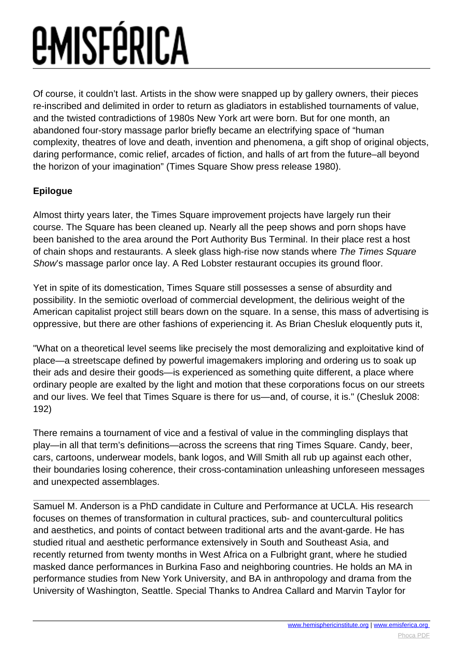Of course, it couldn't last. Artists in the show were snapped up by gallery owners, their pieces re-inscribed and delimited in order to return as gladiators in established tournaments of value, and the twisted contradictions of 1980s New York art were born. But for one month, an abandoned four-story massage parlor briefly became an electrifying space of "human complexity, theatres of love and death, invention and phenomena, a gift shop of original objects, daring performance, comic relief, arcades of fiction, and halls of art from the future–all beyond the horizon of your imagination" (Times Square Show press release 1980).

#### **Epilogue**

Almost thirty years later, the Times Square improvement projects have largely run their course. The Square has been cleaned up. Nearly all the peep shows and porn shops have been banished to the area around the Port Authority Bus Terminal. In their place rest a host of chain shops and restaurants. A sleek glass high-rise now stands where The Times Square Show's massage parlor once lay. A Red Lobster restaurant occupies its ground floor.

Yet in spite of its domestication, Times Square still possesses a sense of absurdity and possibility. In the semiotic overload of commercial development, the delirious weight of the American capitalist project still bears down on the square. In a sense, this mass of advertising is oppressive, but there are other fashions of experiencing it. As Brian Chesluk eloquently puts it,

"What on a theoretical level seems like precisely the most demoralizing and exploitative kind of place—a streetscape defined by powerful imagemakers imploring and ordering us to soak up their ads and desire their goods—is experienced as something quite different, a place where ordinary people are exalted by the light and motion that these corporations focus on our streets and our lives. We feel that Times Square is there for us—and, of course, it is." (Chesluk 2008: 192)

There remains a tournament of vice and a festival of value in the commingling displays that play—in all that term's definitions—across the screens that ring Times Square. Candy, beer, cars, cartoons, underwear models, bank logos, and Will Smith all rub up against each other, their boundaries losing coherence, their cross-contamination unleashing unforeseen messages and unexpected assemblages.

Samuel M. Anderson is a PhD candidate in Culture and Performance at UCLA. His research focuses on themes of transformation in cultural practices, sub- and countercultural politics and aesthetics, and points of contact between traditional arts and the avant-garde. He has studied ritual and aesthetic performance extensively in South and Southeast Asia, and recently returned from twenty months in West Africa on a Fulbright grant, where he studied masked dance performances in Burkina Faso and neighboring countries. He holds an MA in performance studies from New York University, and BA in anthropology and drama from the University of Washington, Seattle. Special Thanks to Andrea Callard and Marvin Taylor for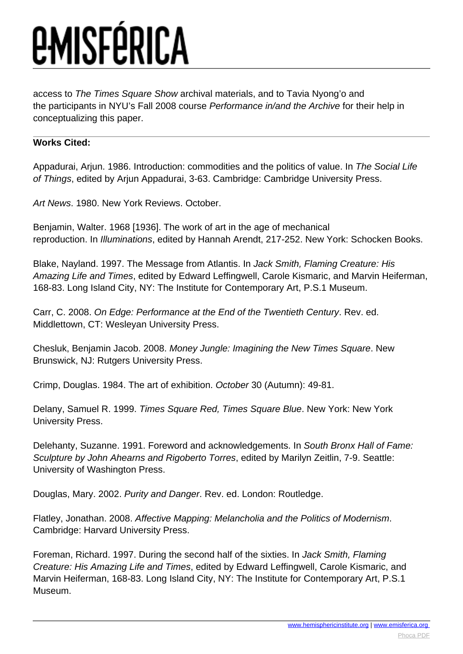access to The Times Square Show archival materials, and to Tavia Nyong'o and the participants in NYU's Fall 2008 course Performance in/and the Archive for their help in conceptualizing this paper.

#### **Works Cited:**

Appadurai, Arjun. 1986. Introduction: commodities and the politics of value. In The Social Life of Things, edited by Arjun Appadurai, 3-63. Cambridge: Cambridge University Press.

Art News. 1980. New York Reviews. October.

Benjamin, Walter. 1968 [1936]. The work of art in the age of mechanical reproduction. In Illuminations, edited by Hannah Arendt, 217-252. New York: Schocken Books.

Blake, Nayland. 1997. The Message from Atlantis. In Jack Smith, Flaming Creature: His Amazing Life and Times, edited by Edward Leffingwell, Carole Kismaric, and Marvin Heiferman, 168-83. Long Island City, NY: The Institute for Contemporary Art, P.S.1 Museum.

Carr, C. 2008. On Edge: Performance at the End of the Twentieth Century. Rev. ed. Middlettown, CT: Wesleyan University Press.

Chesluk, Benjamin Jacob. 2008. Money Jungle: Imagining the New Times Square. New Brunswick, NJ: Rutgers University Press.

Crimp, Douglas. 1984. The art of exhibition. October 30 (Autumn): 49-81.

Delany, Samuel R. 1999. Times Square Red, Times Square Blue. New York: New York University Press.

Delehanty, Suzanne. 1991. Foreword and acknowledgements. In South Bronx Hall of Fame: Sculpture by John Ahearns and Rigoberto Torres, edited by Marilyn Zeitlin, 7-9. Seattle: University of Washington Press.

Douglas, Mary. 2002. Purity and Danger. Rev. ed. London: Routledge.

Flatley, Jonathan. 2008. Affective Mapping: Melancholia and the Politics of Modernism. Cambridge: Harvard University Press.

Foreman, Richard. 1997. During the second half of the sixties. In Jack Smith, Flaming Creature: His Amazing Life and Times, edited by Edward Leffingwell, Carole Kismaric, and Marvin Heiferman, 168-83. Long Island City, NY: The Institute for Contemporary Art, P.S.1 Museum.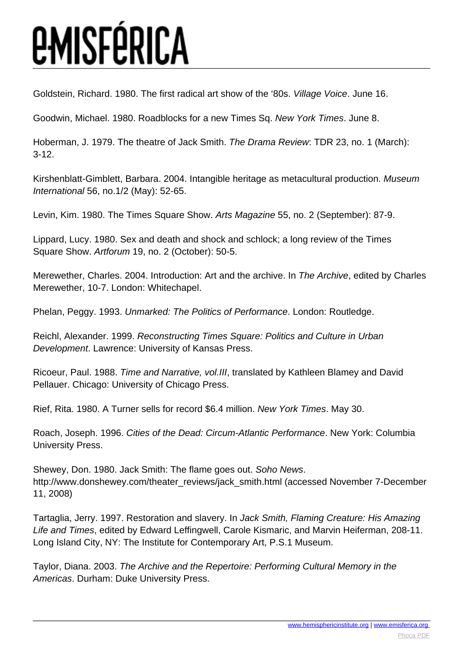Goldstein, Richard. 1980. The first radical art show of the '80s. Village Voice. June 16.

Goodwin, Michael. 1980. Roadblocks for a new Times Sq. New York Times. June 8.

Hoberman, J. 1979. The theatre of Jack Smith. The Drama Review: TDR 23, no. 1 (March): 3-12.

Kirshenblatt-Gimblett, Barbara. 2004. Intangible heritage as metacultural production. Museum International 56, no.1/2 (May): 52-65.

Levin, Kim. 1980. The Times Square Show. Arts Magazine 55, no. 2 (September): 87-9.

Lippard, Lucy. 1980. Sex and death and shock and schlock; a long review of the Times Square Show. Artforum 19, no. 2 (October): 50-5.

Merewether, Charles. 2004. Introduction: Art and the archive. In The Archive, edited by Charles Merewether, 10-7. London: Whitechapel.

Phelan, Peggy. 1993. Unmarked: The Politics of Performance. London: Routledge.

Reichl, Alexander. 1999. Reconstructing Times Square: Politics and Culture in Urban Development. Lawrence: University of Kansas Press.

Ricoeur, Paul. 1988. Time and Narrative, vol.III, translated by Kathleen Blamey and David Pellauer. Chicago: University of Chicago Press.

Rief, Rita. 1980. A Turner sells for record \$6.4 million. New York Times. May 30.

Roach, Joseph. 1996. Cities of the Dead: Circum-Atlantic Performance. New York: Columbia University Press.

Shewey, Don. 1980. Jack Smith: The flame goes out. Soho News. http://www.donshewey.com/theater\_reviews/jack\_smith.html (accessed November 7-December 11, 2008)

Tartaglia, Jerry. 1997. Restoration and slavery. In Jack Smith, Flaming Creature: His Amazing Life and Times, edited by Edward Leffingwell, Carole Kismaric, and Marvin Heiferman, 208-11. Long Island City, NY: The Institute for Contemporary Art, P.S.1 Museum.

Taylor, Diana. 2003. The Archive and the Repertoire: Performing Cultural Memory in the Americas. Durham: Duke University Press.